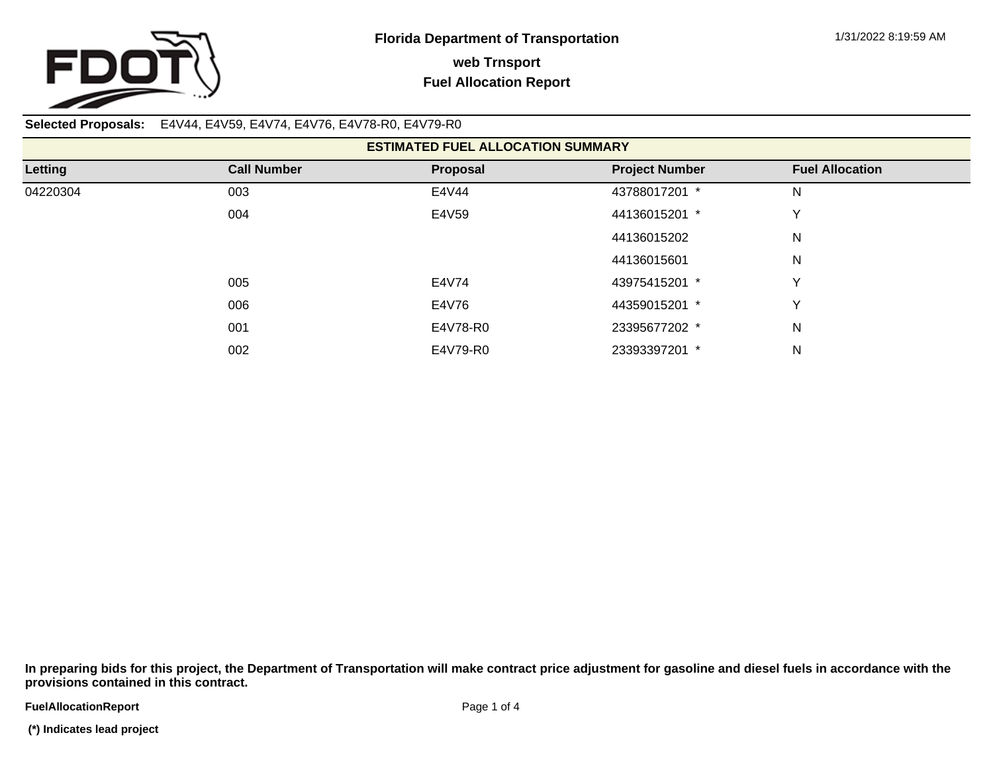

**Selected Proposals:** E4V44, E4V59, E4V74, E4V76, E4V78-R0, E4V79-R0

| <b>ESTIMATED FUEL ALLOCATION SUMMARY</b> |                    |          |                       |                        |  |  |  |  |
|------------------------------------------|--------------------|----------|-----------------------|------------------------|--|--|--|--|
| Letting                                  | <b>Call Number</b> | Proposal | <b>Project Number</b> | <b>Fuel Allocation</b> |  |  |  |  |
| 04220304                                 | 003                | E4V44    | 43788017201 *         | N                      |  |  |  |  |
|                                          | 004                | E4V59    | 44136015201 *         | v                      |  |  |  |  |
|                                          |                    |          | 44136015202           | N                      |  |  |  |  |
|                                          |                    |          | 44136015601           | N                      |  |  |  |  |
|                                          | 005                | E4V74    | 43975415201 *         | v                      |  |  |  |  |
|                                          | 006                | E4V76    | 44359015201 *         | v                      |  |  |  |  |
|                                          | 001                | E4V78-R0 | 23395677202 *         | N                      |  |  |  |  |
|                                          | 002                | E4V79-R0 | 23393397201 *         | N                      |  |  |  |  |

**In preparing bids for this project, the Department of Transportation will make contract price adjustment for gasoline and diesel fuels in accordance with the provisions contained in this contract.**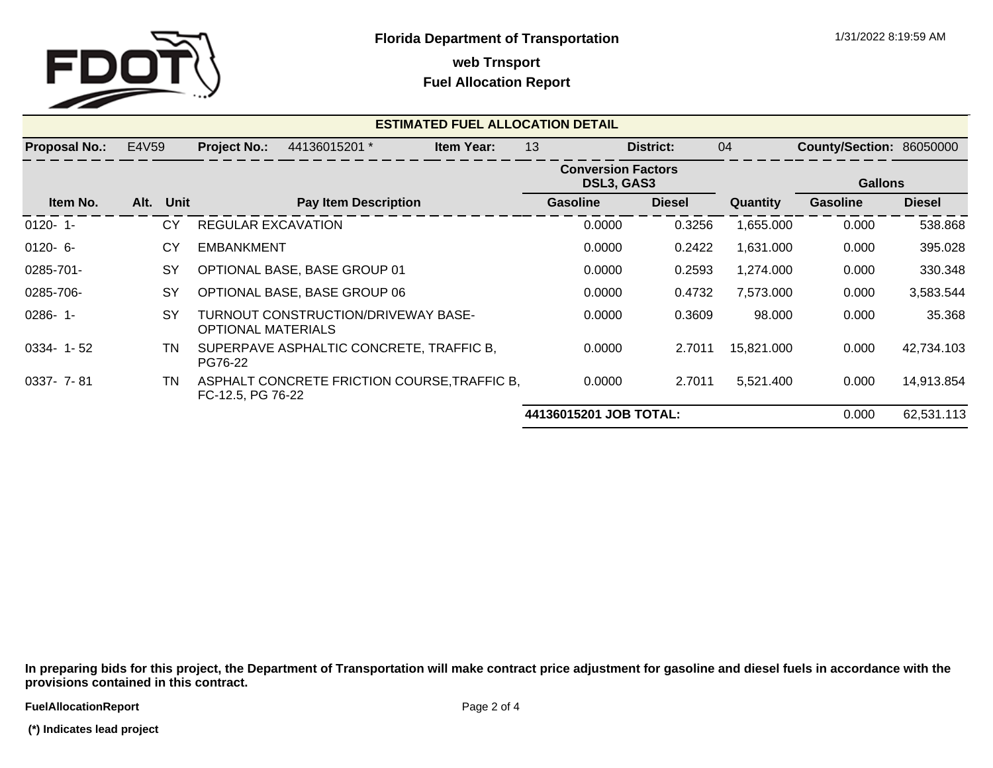

**web Trnsport**

## **Fuel Allocation Report**

| <b>ESTIMATED FUEL ALLOCATION DETAIL</b> |      |                     |                           |                                              |    |                                         |                 |               |                          |                 |               |
|-----------------------------------------|------|---------------------|---------------------------|----------------------------------------------|----|-----------------------------------------|-----------------|---------------|--------------------------|-----------------|---------------|
| E4V59<br><b>Proposal No.:</b>           |      | <b>Project No.:</b> | 44136015201 *             | <b>Item Year:</b>                            | 13 |                                         | District:       | 04            | County/Section: 86050000 |                 |               |
|                                         |      |                     |                           |                                              |    | <b>Conversion Factors</b><br>DSL3, GAS3 |                 |               | <b>Gallons</b>           |                 |               |
| Item No.                                | Alt. | Unit                |                           | <b>Pay Item Description</b>                  |    |                                         | <b>Gasoline</b> | <b>Diesel</b> | <b>Quantity</b>          | <b>Gasoline</b> | <b>Diesel</b> |
| $0120 - 1$                              |      | СY                  | <b>REGULAR EXCAVATION</b> |                                              |    |                                         | 0.0000          | 0.3256        | 1,655.000                | 0.000           | 538.868       |
| $0120 - 6$                              |      | CY                  | <b>EMBANKMENT</b>         |                                              |    |                                         | 0.0000          | 0.2422        | 1,631.000                | 0.000           | 395.028       |
| 0285-701-                               |      | <b>SY</b>           |                           | OPTIONAL BASE, BASE GROUP 01                 |    |                                         | 0.0000          | 0.2593        | 1,274.000                | 0.000           | 330.348       |
| 0285-706-                               |      | <b>SY</b>           |                           | OPTIONAL BASE, BASE GROUP 06                 |    |                                         | 0.0000          | 0.4732        | 7,573.000                | 0.000           | 3,583.544     |
| $0286 - 1$ -                            |      | <b>SY</b>           | <b>OPTIONAL MATERIALS</b> | TURNOUT CONSTRUCTION/DRIVEWAY BASE-          |    |                                         | 0.0000          | 0.3609        | 98.000                   | 0.000           | 35.368        |
| $0334 - 1 - 52$                         |      | ΤN                  | PG76-22                   | SUPERPAVE ASPHALTIC CONCRETE, TRAFFIC B,     |    |                                         | 0.0000          | 2.7011        | 15,821.000               | 0.000           | 42,734.103    |
| 0337- 7-81                              |      | ΤN                  | FC-12.5, PG 76-22         | ASPHALT CONCRETE FRICTION COURSE, TRAFFIC B, |    |                                         | 0.0000          | 2.7011        | 5,521.400                | 0.000           | 14,913.854    |
|                                         |      |                     |                           |                                              |    | 44136015201 JOB TOTAL:<br>0.000         |                 |               |                          |                 | 62,531.113    |

**In preparing bids for this project, the Department of Transportation will make contract price adjustment for gasoline and diesel fuels in accordance with the provisions contained in this contract.**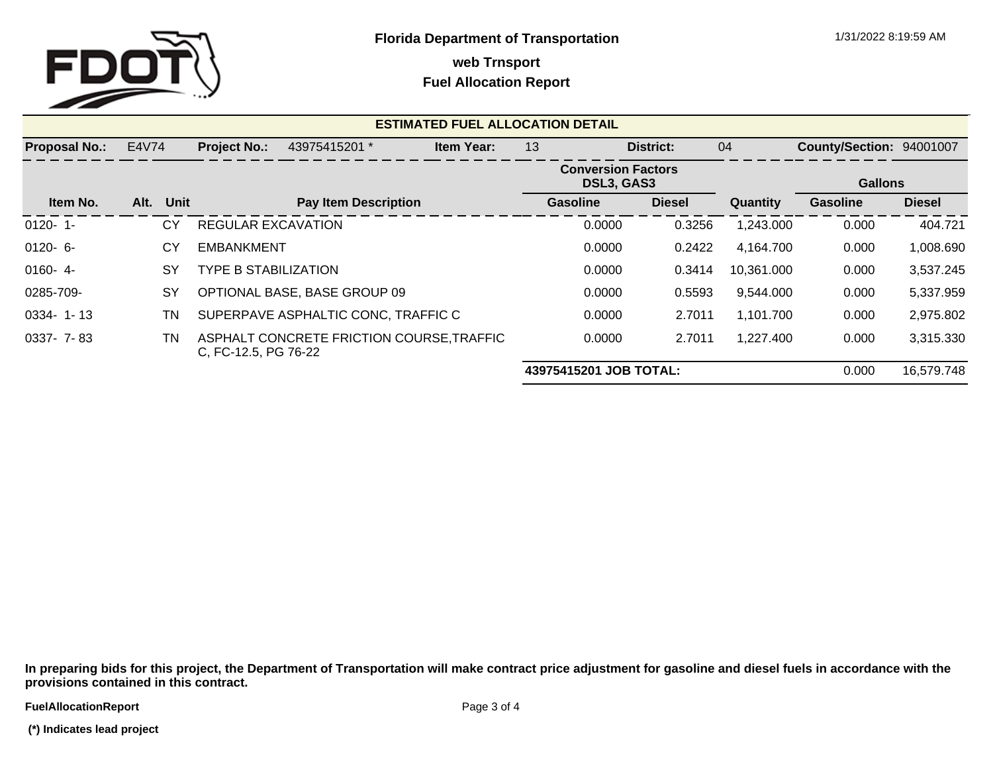

**web Trnsport**

## **Fuel Allocation Report**

| <b>ESTIMATED FUEL ALLOCATION DETAIL</b> |                              |      |                             |                                           |                   |                                         |          |               |                |                                 |               |
|-----------------------------------------|------------------------------|------|-----------------------------|-------------------------------------------|-------------------|-----------------------------------------|----------|---------------|----------------|---------------------------------|---------------|
| <b>Proposal No.:</b>                    | E4V74<br><b>Project No.:</b> |      |                             | 43975415201 *                             | <b>Item Year:</b> | 13                                      |          | District:     | 04             | <b>County/Section: 94001007</b> |               |
|                                         |                              |      |                             |                                           |                   | <b>Conversion Factors</b><br>DSL3, GAS3 |          |               | <b>Gallons</b> |                                 |               |
| Item No.                                | Alt.                         | Unit |                             | <b>Pay Item Description</b>               |                   |                                         | Gasoline | <b>Diesel</b> | Quantity       | Gasoline                        | <b>Diesel</b> |
| $0120 - 1$                              |                              | СY   | <b>REGULAR EXCAVATION</b>   |                                           |                   |                                         | 0.0000   | 0.3256        | 1,243.000      | 0.000                           | 404.721       |
| $0120 - 6 -$                            |                              | CY   | <b>EMBANKMENT</b>           |                                           |                   |                                         | 0.0000   | 0.2422        | 4,164.700      | 0.000                           | 1,008.690     |
| $0160 - 4$                              |                              | SY   | <b>TYPE B STABILIZATION</b> |                                           |                   |                                         | 0.0000   | 0.3414        | 10,361.000     | 0.000                           | 3,537.245     |
| 0285-709-                               |                              | SY   |                             | OPTIONAL BASE, BASE GROUP 09              |                   |                                         | 0.0000   | 0.5593        | 9,544.000      | 0.000                           | 5,337.959     |
| $0334 - 1 - 13$                         |                              | TN   |                             | SUPERPAVE ASPHALTIC CONC, TRAFFIC C       |                   |                                         | 0.0000   | 2.7011        | 1,101.700      | 0.000                           | 2,975.802     |
| 0337- 7-83                              |                              | TN   | C, FC-12.5, PG 76-22        | ASPHALT CONCRETE FRICTION COURSE, TRAFFIC |                   |                                         | 0.0000   | 2.7011        | 1,227.400      | 0.000                           | 3,315.330     |
|                                         |                              |      |                             |                                           |                   | 43975415201 JOB TOTAL:                  |          |               |                | 0.000                           | 16,579.748    |

**In preparing bids for this project, the Department of Transportation will make contract price adjustment for gasoline and diesel fuels in accordance with the provisions contained in this contract.**